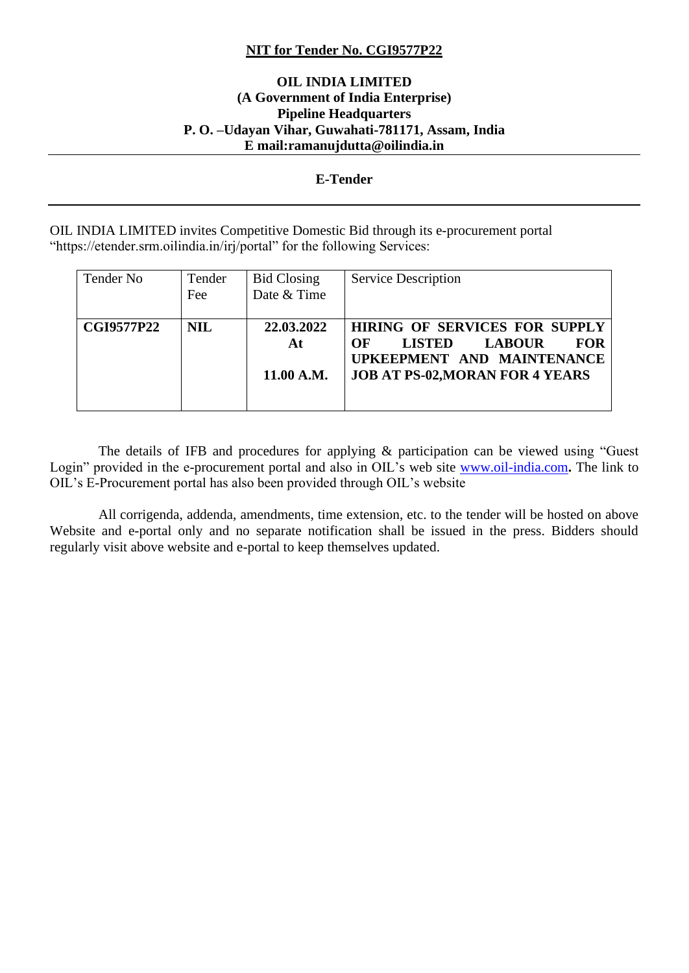#### **NIT for Tender No. CGI9577P22**

#### **OIL INDIA LIMITED (A Government of India Enterprise) Pipeline Headquarters P. O. –Udayan Vihar, Guwahati-781171, Assam, India E mail:ramanujdutta@oilindia.in**

#### **E-Tender**

OIL INDIA LIMITED invites Competitive Domestic Bid through its e-procurement portal "https://etender.srm.oilindia.in/irj/portal" for the following Services:

| Tender No         | Tender<br>Fee | <b>Bid Closing</b><br>Date & Time | <b>Service Description</b>                                                                                                                                         |
|-------------------|---------------|-----------------------------------|--------------------------------------------------------------------------------------------------------------------------------------------------------------------|
| <b>CGI9577P22</b> | <b>NIL</b>    | 22,03,2022<br>At<br>11.00 A.M.    | <b>HIRING OF SERVICES FOR SUPPLY</b><br>OF<br><b>LISTED</b><br><b>FOR</b><br><b>LABOUR</b><br>UPKEEPMENT AND MAINTENANCE<br><b>JOB AT PS-02, MORAN FOR 4 YEARS</b> |

 The details of IFB and procedures for applying & participation can be viewed using "Guest Login" provided in the e-procurement portal and also in OIL's web site [www.oil-india.com](http://www.oil-india.com/)**.** The link to OIL's E-Procurement portal has also been provided through OIL's website

 All corrigenda, addenda, amendments, time extension, etc. to the tender will be hosted on above Website and e-portal only and no separate notification shall be issued in the press. Bidders should regularly visit above website and e-portal to keep themselves updated.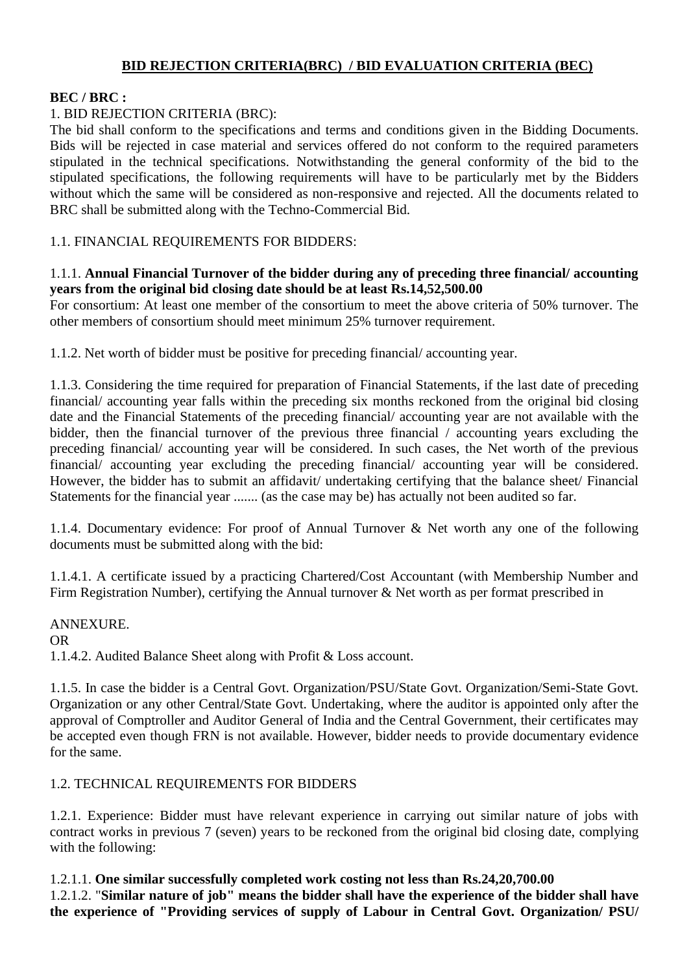# **BID REJECTION CRITERIA(BRC) / BID EVALUATION CRITERIA (BEC)**

## **BEC / BRC :**

# 1. BID REJECTION CRITERIA (BRC):

The bid shall conform to the specifications and terms and conditions given in the Bidding Documents. Bids will be rejected in case material and services offered do not conform to the required parameters stipulated in the technical specifications. Notwithstanding the general conformity of the bid to the stipulated specifications, the following requirements will have to be particularly met by the Bidders without which the same will be considered as non-responsive and rejected. All the documents related to BRC shall be submitted along with the Techno-Commercial Bid.

1.1. FINANCIAL REQUIREMENTS FOR BIDDERS:

#### 1.1.1. **Annual Financial Turnover of the bidder during any of preceding three financial/ accounting years from the original bid closing date should be at least Rs.14,52,500.00**

For consortium: At least one member of the consortium to meet the above criteria of 50% turnover. The other members of consortium should meet minimum 25% turnover requirement.

1.1.2. Net worth of bidder must be positive for preceding financial/ accounting year.

1.1.3. Considering the time required for preparation of Financial Statements, if the last date of preceding financial/ accounting year falls within the preceding six months reckoned from the original bid closing date and the Financial Statements of the preceding financial/ accounting year are not available with the bidder, then the financial turnover of the previous three financial / accounting years excluding the preceding financial/ accounting year will be considered. In such cases, the Net worth of the previous financial/ accounting year excluding the preceding financial/ accounting year will be considered. However, the bidder has to submit an affidavit/ undertaking certifying that the balance sheet/ Financial Statements for the financial year ....... (as the case may be) has actually not been audited so far.

1.1.4. Documentary evidence: For proof of Annual Turnover & Net worth any one of the following documents must be submitted along with the bid:

1.1.4.1. A certificate issued by a practicing Chartered/Cost Accountant (with Membership Number and Firm Registration Number), certifying the Annual turnover & Net worth as per format prescribed in

ANNEXURE. OR 1.1.4.2. Audited Balance Sheet along with Profit & Loss account.

1.1.5. In case the bidder is a Central Govt. Organization/PSU/State Govt. Organization/Semi-State Govt. Organization or any other Central/State Govt. Undertaking, where the auditor is appointed only after the approval of Comptroller and Auditor General of India and the Central Government, their certificates may be accepted even though FRN is not available. However, bidder needs to provide documentary evidence for the same.

## 1.2. TECHNICAL REQUIREMENTS FOR BIDDERS

1.2.1. Experience: Bidder must have relevant experience in carrying out similar nature of jobs with contract works in previous 7 (seven) years to be reckoned from the original bid closing date, complying with the following:

1.2.1.1. **One similar successfully completed work costing not less than Rs.24,20,700.00** 1.2.1.2. "**Similar nature of job" means the bidder shall have the experience of the bidder shall have the experience of "Providing services of supply of Labour in Central Govt. Organization/ PSU/**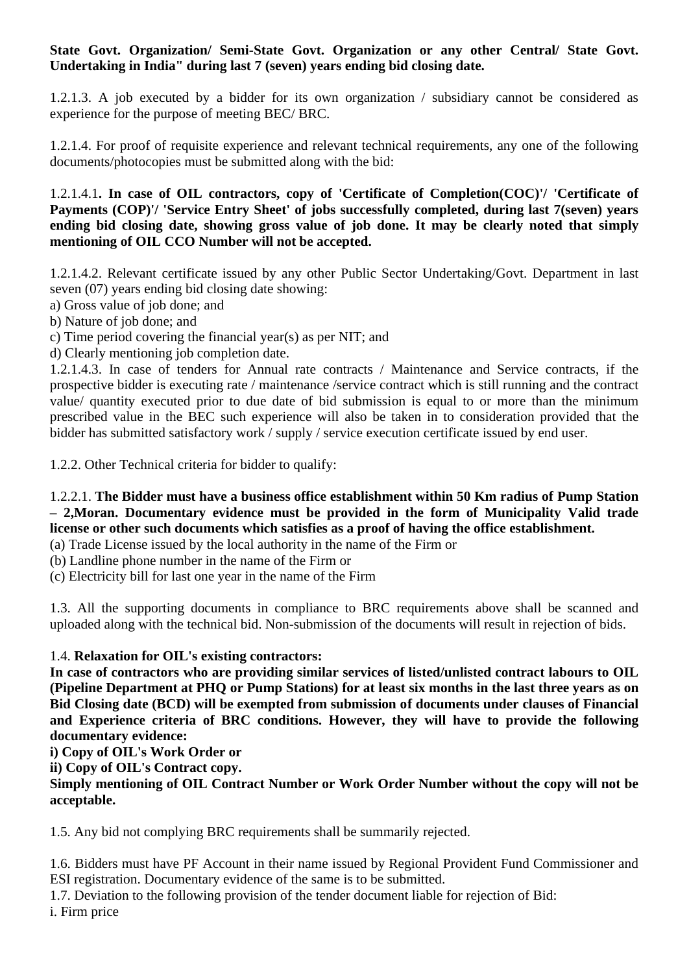## **State Govt. Organization/ Semi-State Govt. Organization or any other Central/ State Govt. Undertaking in India" during last 7 (seven) years ending bid closing date.**

1.2.1.3. A job executed by a bidder for its own organization / subsidiary cannot be considered as experience for the purpose of meeting BEC/ BRC.

1.2.1.4. For proof of requisite experience and relevant technical requirements, any one of the following documents/photocopies must be submitted along with the bid:

1.2.1.4.1**. In case of OIL contractors, copy of 'Certificate of Completion(COC)'/ 'Certificate of Payments (COP)'/ 'Service Entry Sheet' of jobs successfully completed, during last 7(seven) years ending bid closing date, showing gross value of job done. It may be clearly noted that simply mentioning of OIL CCO Number will not be accepted.**

1.2.1.4.2. Relevant certificate issued by any other Public Sector Undertaking/Govt. Department in last seven (07) years ending bid closing date showing:

a) Gross value of job done; and

b) Nature of job done; and

c) Time period covering the financial year(s) as per NIT; and

d) Clearly mentioning job completion date.

1.2.1.4.3. In case of tenders for Annual rate contracts / Maintenance and Service contracts, if the prospective bidder is executing rate / maintenance /service contract which is still running and the contract value/ quantity executed prior to due date of bid submission is equal to or more than the minimum prescribed value in the BEC such experience will also be taken in to consideration provided that the bidder has submitted satisfactory work / supply / service execution certificate issued by end user.

1.2.2. Other Technical criteria for bidder to qualify:

# 1.2.2.1. **The Bidder must have a business office establishment within 50 Km radius of Pump Station – 2,Moran. Documentary evidence must be provided in the form of Municipality Valid trade license or other such documents which satisfies as a proof of having the office establishment.**

(a) Trade License issued by the local authority in the name of the Firm or

(b) Landline phone number in the name of the Firm or

(c) Electricity bill for last one year in the name of the Firm

1.3. All the supporting documents in compliance to BRC requirements above shall be scanned and uploaded along with the technical bid. Non-submission of the documents will result in rejection of bids.

# 1.4. **Relaxation for OIL's existing contractors:**

**In case of contractors who are providing similar services of listed/unlisted contract labours to OIL (Pipeline Department at PHQ or Pump Stations) for at least six months in the last three years as on Bid Closing date (BCD) will be exempted from submission of documents under clauses of Financial and Experience criteria of BRC conditions. However, they will have to provide the following documentary evidence:**

**i) Copy of OIL's Work Order or**

**ii) Copy of OIL's Contract copy.**

**Simply mentioning of OIL Contract Number or Work Order Number without the copy will not be acceptable.**

1.5. Any bid not complying BRC requirements shall be summarily rejected.

1.6. Bidders must have PF Account in their name issued by Regional Provident Fund Commissioner and ESI registration. Documentary evidence of the same is to be submitted.

1.7. Deviation to the following provision of the tender document liable for rejection of Bid: i. Firm price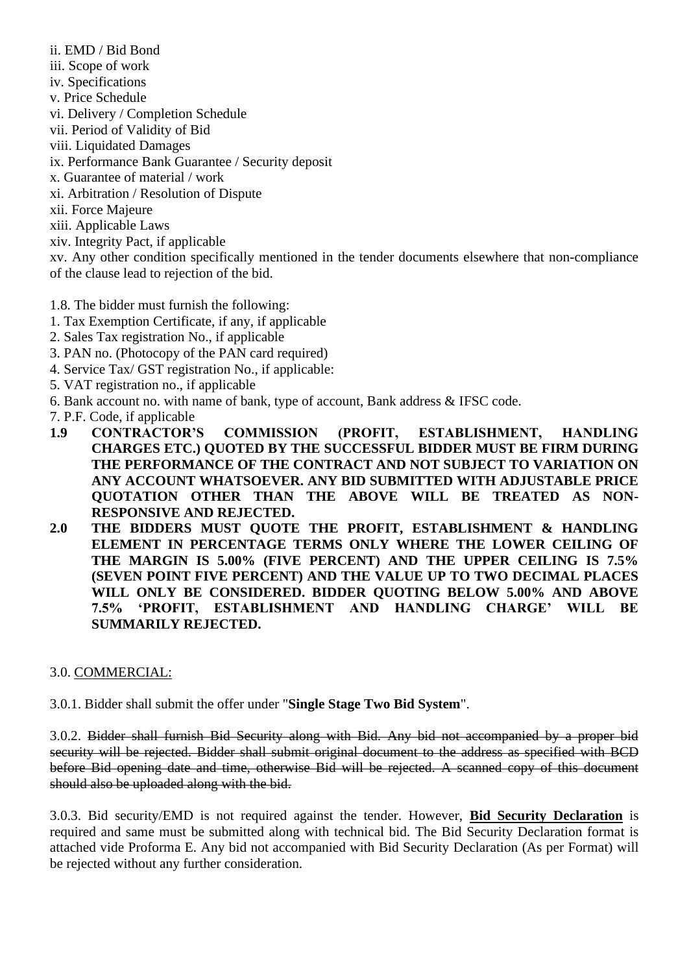- ii. EMD / Bid Bond
- iii. Scope of work
- iv. Specifications
- v. Price Schedule
- vi. Delivery / Completion Schedule
- vii. Period of Validity of Bid
- viii. Liquidated Damages
- ix. Performance Bank Guarantee / Security deposit
- x. Guarantee of material / work
- xi. Arbitration / Resolution of Dispute
- xii. Force Majeure
- xiii. Applicable Laws
- xiv. Integrity Pact, if applicable

xv. Any other condition specifically mentioned in the tender documents elsewhere that non-compliance of the clause lead to rejection of the bid.

1.8. The bidder must furnish the following:

- 1. Tax Exemption Certificate, if any, if applicable
- 2. Sales Tax registration No., if applicable
- 3. PAN no. (Photocopy of the PAN card required)
- 4. Service Tax/ GST registration No., if applicable:
- 5. VAT registration no., if applicable
- 6. Bank account no. with name of bank, type of account, Bank address & IFSC code.
- 7. P.F. Code, if applicable
- **1.9 CONTRACTOR'S COMMISSION (PROFIT, ESTABLISHMENT, HANDLING CHARGES ETC.) QUOTED BY THE SUCCESSFUL BIDDER MUST BE FIRM DURING THE PERFORMANCE OF THE CONTRACT AND NOT SUBJECT TO VARIATION ON ANY ACCOUNT WHATSOEVER. ANY BID SUBMITTED WITH ADJUSTABLE PRICE QUOTATION OTHER THAN THE ABOVE WILL BE TREATED AS NON-RESPONSIVE AND REJECTED.**
- **2.0 THE BIDDERS MUST QUOTE THE PROFIT, ESTABLISHMENT & HANDLING ELEMENT IN PERCENTAGE TERMS ONLY WHERE THE LOWER CEILING OF THE MARGIN IS 5.00% (FIVE PERCENT) AND THE UPPER CEILING IS 7.5% (SEVEN POINT FIVE PERCENT) AND THE VALUE UP TO TWO DECIMAL PLACES WILL ONLY BE CONSIDERED. BIDDER QUOTING BELOW 5.00% AND ABOVE 7.5% 'PROFIT, ESTABLISHMENT AND HANDLING CHARGE' WILL BE SUMMARILY REJECTED.**

## 3.0. COMMERCIAL:

3.0.1. Bidder shall submit the offer under "**Single Stage Two Bid System**".

3.0.2. Bidder shall furnish Bid Security along with Bid. Any bid not accompanied by a proper bid security will be rejected. Bidder shall submit original document to the address as specified with BCD before Bid opening date and time, otherwise Bid will be rejected. A scanned copy of this document should also be uploaded along with the bid.

3.0.3. Bid security/EMD is not required against the tender. However, **Bid Security Declaration** is required and same must be submitted along with technical bid. The Bid Security Declaration format is attached vide Proforma E. Any bid not accompanied with Bid Security Declaration (As per Format) will be rejected without any further consideration.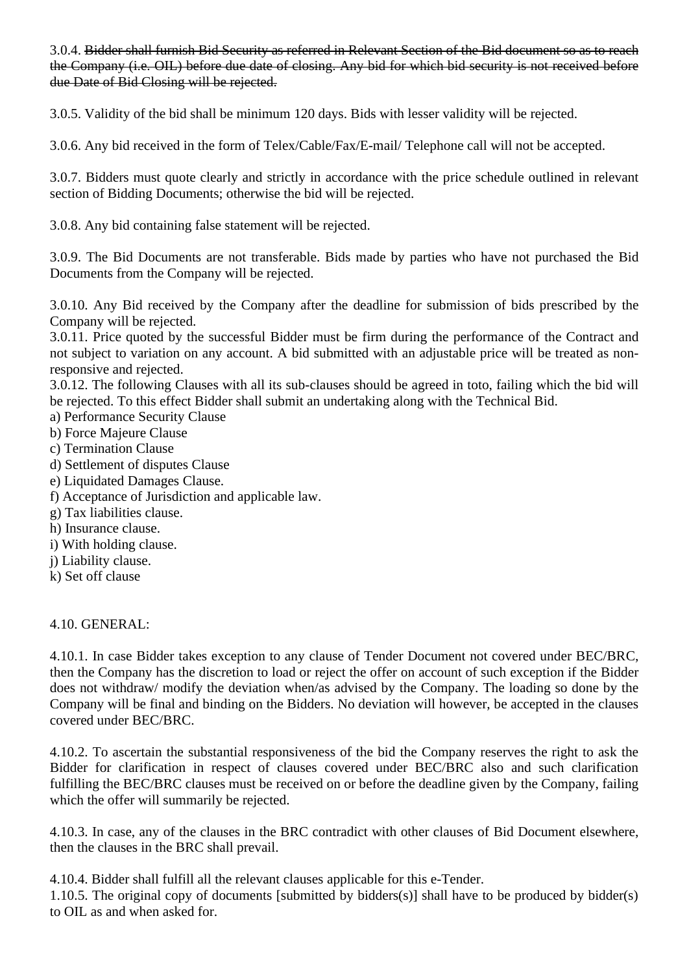3.0.4. Bidder shall furnish Bid Security as referred in Relevant Section of the Bid document so as to reach the Company (i.e. OIL) before due date of closing. Any bid for which bid security is not received before due Date of Bid Closing will be rejected.

3.0.5. Validity of the bid shall be minimum 120 days. Bids with lesser validity will be rejected.

3.0.6. Any bid received in the form of Telex/Cable/Fax/E-mail/ Telephone call will not be accepted.

3.0.7. Bidders must quote clearly and strictly in accordance with the price schedule outlined in relevant section of Bidding Documents; otherwise the bid will be rejected.

3.0.8. Any bid containing false statement will be rejected.

3.0.9. The Bid Documents are not transferable. Bids made by parties who have not purchased the Bid Documents from the Company will be rejected.

3.0.10. Any Bid received by the Company after the deadline for submission of bids prescribed by the Company will be rejected.

3.0.11. Price quoted by the successful Bidder must be firm during the performance of the Contract and not subject to variation on any account. A bid submitted with an adjustable price will be treated as nonresponsive and rejected.

3.0.12. The following Clauses with all its sub-clauses should be agreed in toto, failing which the bid will be rejected. To this effect Bidder shall submit an undertaking along with the Technical Bid.

a) Performance Security Clause

- b) Force Majeure Clause
- c) Termination Clause
- d) Settlement of disputes Clause
- e) Liquidated Damages Clause.
- f) Acceptance of Jurisdiction and applicable law.
- g) Tax liabilities clause.
- h) Insurance clause.
- i) With holding clause.
- j) Liability clause.
- k) Set off clause

4.10. GENERAL:

4.10.1. In case Bidder takes exception to any clause of Tender Document not covered under BEC/BRC, then the Company has the discretion to load or reject the offer on account of such exception if the Bidder does not withdraw/ modify the deviation when/as advised by the Company. The loading so done by the Company will be final and binding on the Bidders. No deviation will however, be accepted in the clauses covered under BEC/BRC.

4.10.2. To ascertain the substantial responsiveness of the bid the Company reserves the right to ask the Bidder for clarification in respect of clauses covered under BEC/BRC also and such clarification fulfilling the BEC/BRC clauses must be received on or before the deadline given by the Company, failing which the offer will summarily be rejected.

4.10.3. In case, any of the clauses in the BRC contradict with other clauses of Bid Document elsewhere, then the clauses in the BRC shall prevail.

4.10.4. Bidder shall fulfill all the relevant clauses applicable for this e-Tender.

1.10.5. The original copy of documents [submitted by bidders(s)] shall have to be produced by bidder(s) to OIL as and when asked for.